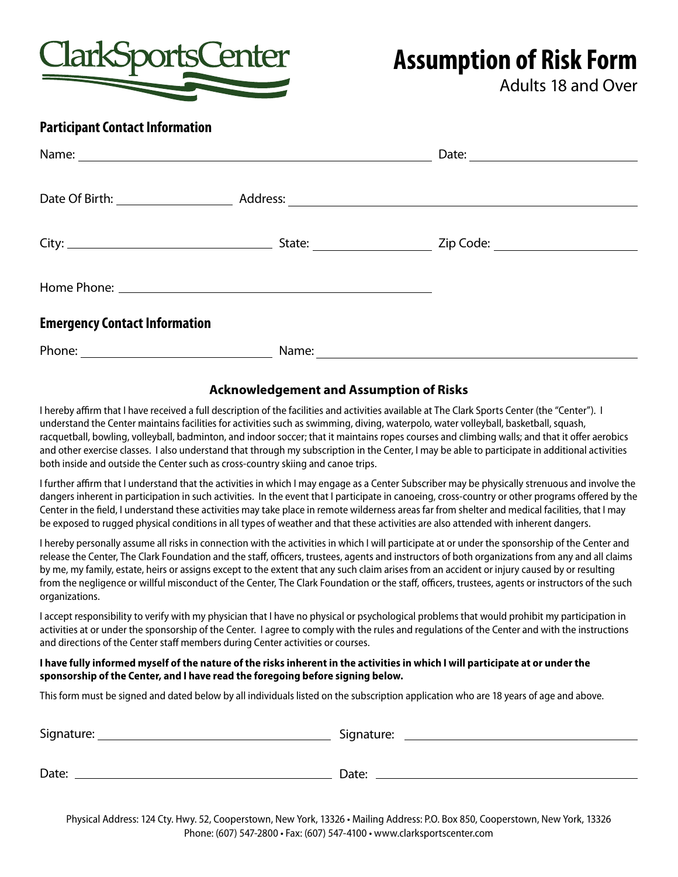

Adults 18 and Over

### **Participant Contact Information**

|                                      | State: <u>________</u> _________ |  |
|--------------------------------------|----------------------------------|--|
|                                      |                                  |  |
| <b>Emergency Contact Information</b> |                                  |  |
| Phone:                               | Name:                            |  |

## **Acknowledgement and Assumption of Risks**

I hereby affirm that I have received a full description of the facilities and activities available at The Clark Sports Center (the "Center"). I understand the Center maintains facilities for activities such as swimming, diving, waterpolo, water volleyball, basketball, squash, racquetball, bowling, volleyball, badminton, and indoor soccer; that it maintains ropes courses and climbing walls; and that it offer aerobics and other exercise classes. I also understand that through my subscription in the Center, I may be able to participate in additional activities both inside and outside the Center such as cross-country skiing and canoe trips.

I further affirm that I understand that the activities in which I may engage as a Center Subscriber may be physically strenuous and involve the dangers inherent in participation in such activities. In the event that I participate in canoeing, cross-country or other programs offered by the Center in the field, I understand these activities may take place in remote wilderness areas far from shelter and medical facilities, that I may be exposed to rugged physical conditions in all types of weather and that these activities are also attended with inherent dangers.

I hereby personally assume all risks in connection with the activities in which I will participate at or under the sponsorship of the Center and release the Center, The Clark Foundation and the staff, officers, trustees, agents and instructors of both organizations from any and all claims by me, my family, estate, heirs or assigns except to the extent that any such claim arises from an accident or injury caused by or resulting from the negligence or willful misconduct of the Center, The Clark Foundation or the staff, officers, trustees, agents or instructors of the such organizations.

I accept responsibility to verify with my physician that I have no physical or psychological problems that would prohibit my participation in activities at or under the sponsorship of the Center. I agree to comply with the rules and regulations of the Center and with the instructions and directions of the Center staff members during Center activities or courses.

### **I have fully informed myself of the nature of the risks inherent in the activities in which I will participate at or under the sponsorship of the Center, and I have read the foregoing before signing below.**

This form must be signed and dated below by all individuals listed on the subscription application who are 18 years of age and above.

| Signature: | Signature: |
|------------|------------|
| Date:      | Date:      |

Physical Address: 124 Cty. Hwy. 52, Cooperstown, New York, 13326 • Mailing Address: P.O. Box 850, Cooperstown, New York, 13326 Phone: (607) 547-2800 • Fax: (607) 547-4100 • www.clarksportscenter.com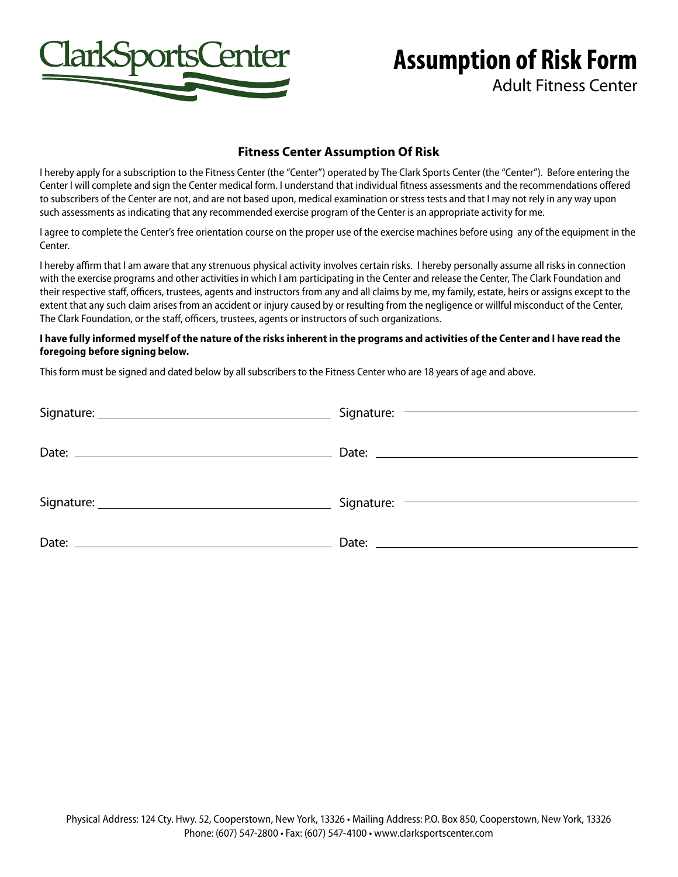

Adult Fitness Center

### **Fitness Center Assumption Of Risk**

I hereby apply for a subscription to the Fitness Center (the "Center") operated by The Clark Sports Center (the "Center"). Before entering the Center I will complete and sign the Center medical form. I understand that individual fitness assessments and the recommendations offered to subscribers of the Center are not, and are not based upon, medical examination or stress tests and that I may not rely in any way upon such assessments as indicating that any recommended exercise program of the Center is an appropriate activity for me.

I agree to complete the Center's free orientation course on the proper use of the exercise machines before using any of the equipment in the Center.

I hereby affirm that I am aware that any strenuous physical activity involves certain risks. I hereby personally assume all risks in connection with the exercise programs and other activities in which I am participating in the Center and release the Center, The Clark Foundation and their respective staff, officers, trustees, agents and instructors from any and all claims by me, my family, estate, heirs or assigns except to the extent that any such claim arises from an accident or injury caused by or resulting from the negligence or willful misconduct of the Center, The Clark Foundation, or the staff, officers, trustees, agents or instructors of such organizations.

#### **I have fully informed myself of the nature of the risks inherent in the programs and activities of the Center and I have read the foregoing before signing below.**

This form must be signed and dated below by all subscribers to the Fitness Center who are 18 years of age and above.

|                                | Signature: – <u>Contractor</u> Contractor Contractor Contractor Contractor Contractor Contractor Contractor Contractor Contractor Contractor Contractor Contractor Contractor Contractor Contractor Contractor Contractor Contracto |
|--------------------------------|-------------------------------------------------------------------------------------------------------------------------------------------------------------------------------------------------------------------------------------|
| Date: $\overline{\phantom{a}}$ |                                                                                                                                                                                                                                     |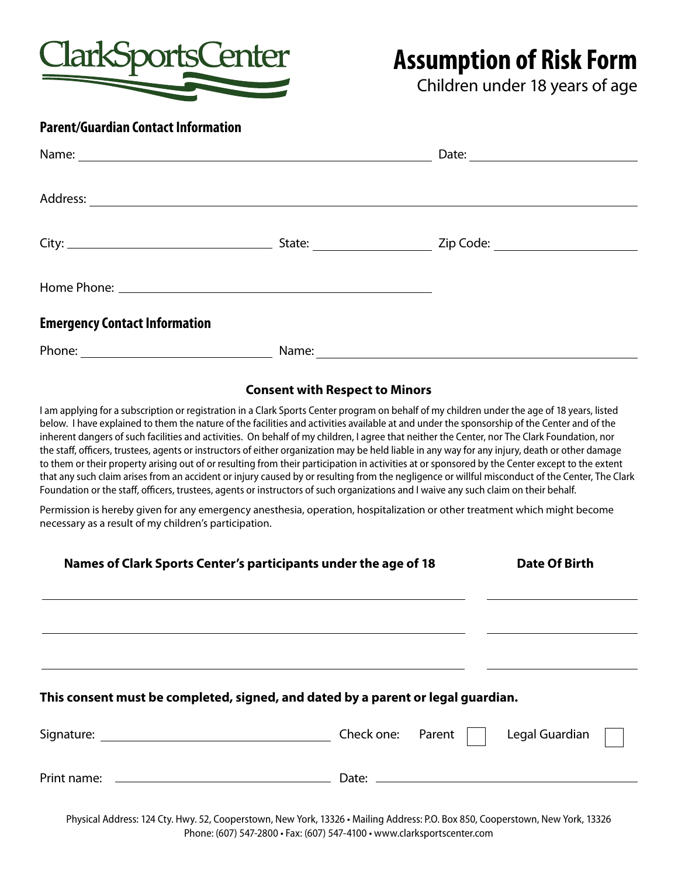

Children under 18 years of age

### **Parent/Guardian Contact Information**

|                                      |       | Date: $\qquad \qquad$ |
|--------------------------------------|-------|-----------------------|
|                                      |       |                       |
|                                      |       |                       |
|                                      |       |                       |
| <b>Emergency Contact Information</b> |       |                       |
| Phone:                               | Name: |                       |

### **Consent with Respect to Minors**

I am applying for a subscription or registration in a Clark Sports Center program on behalf of my children under the age of 18 years, listed below. I have explained to them the nature of the facilities and activities available at and under the sponsorship of the Center and of the inherent dangers of such facilities and activities. On behalf of my children, I agree that neither the Center, nor The Clark Foundation, nor the staff, officers, trustees, agents or instructors of either organization may be held liable in any way for any injury, death or other damage to them or their property arising out of or resulting from their participation in activities at or sponsored by the Center except to the extent that any such claim arises from an accident or injury caused by or resulting from the negligence or willful misconduct of the Center, The Clark Foundation or the staff, officers, trustees, agents or instructors of such organizations and I waive any such claim on their behalf.

Permission is hereby given for any emergency anesthesia, operation, hospitalization or other treatment which might become necessary as a result of my children's participation.

| Names of Clark Sports Center's participants under the age of 18                  | Date Of Birth  |
|----------------------------------------------------------------------------------|----------------|
|                                                                                  |                |
| This consent must be completed, signed, and dated by a parent or legal guardian. |                |
| Check one: Parent                                                                | Legal Guardian |
|                                                                                  |                |

Physical Address: 124 Cty. Hwy. 52, Cooperstown, New York, 13326 • Mailing Address: P.O. Box 850, Cooperstown, New York, 13326 Phone: (607) 547-2800 • Fax: (607) 547-4100 • www.clarksportscenter.com